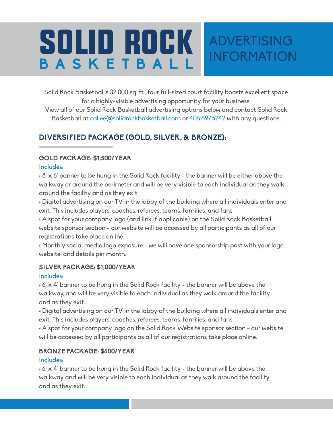# SOLID ROCK ADVERTISING BASKETBAL

Solid Rock Basketball's 32,000 sq. ft., four full-sized court facility boasts excellent space for a highly-visible advertising opportunity for your business.

INFORMATION

View all of our Solid Rock Basketball advertising options below and contact Solid Rock Basketball at callee@solidrockbasketball.com or 405.697.5242 with any questions.

# **DIVERSIFIED PACKAGE (GOLD, SILVER, & BRONZE):**

#### **GOLD PACKAGE: \$1,500/YEAR**

Includes:

 $\cdot$  8' x 6' banner to be hung in the Solid Rock facility - the banner will be either above the walkway or around the perimeter and will be very visible to each individual as they walk around the facility and as they exit.

• Digital advertising on our TV in the lobby of the building where all individuals enter and exit. This includes players, coaches, referees, teams, families, and fans.

• A spot for your company logo (and link if applicable) on the Solid Rock Basketball website sponsor section - our website will be accessed by all participants as all of our registrations take place online.

• Monthly social media logo exposure - we will have one sponsorship post with your logo, website, and details per month.

#### **SILVER PACKAGE: \$1,000/YEAR**

#### Includes:

 $\cdot$  6' x 4' banner to be hung in the Solid Rock facility - the banner will be above the walkway, and will be very visible to each individual as they walk around the facility and as they exit.

• Digital advertising on our TV in the lobby of the building where all individuals enter and exit. This includes players, coaches, referees, teams, families, and fans.

• A spot for your company logo on the Solid Rock Website sponsor section - our website will be accessed by all participants as all of our registrations take place online.

#### **BRONZE PACKAGE: \$600/YEAR**

#### Includes:

 $\cdot$  6' x 4' banner to be hung in the Solid Rock facility - the banner will be above the walkway and will be very visible to each individual as they walk around the facility and as they exit.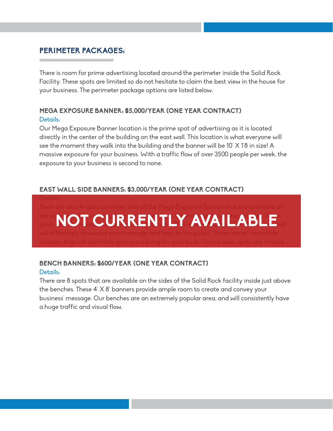# **PERIMETER PACKAGES:**

There is room for prime advertising located around the perimeter inside the Solid Rock Facility. These spots are limited so do not hesitate to claim the best view in the house for your business. The perimeter package options are listed below.

#### **MEGA EXPOSURE BANNER: \$5,000/YEAR (ONE YEAR CONTRACT)** Details:

Our Mega Exposure Banner location is the prime spot of advertising as it is located directly in the center of the building on the east wall. This location is what everyone will see the moment they walk into the building and the banner will be 10' X 1'8 in size! A massive exposure for your business. With a traffic flow of over 3500 people per week, the exposure to your business is second to none.

#### **EAST WALL SIDE BANNERS: \$3,000/YEAR (ONE YEAR CONTRACT)**

the east  $\bigcap \mathbf{T}$  is information. The visibility for  $\mathbf{F}$  is exception for  $\mathbf{F}$  . **IS NOT CURRENTLY AVAILABLE.** 

#### **BENCH BANNERS: \$600/YEAR (ONE YEAR CONTRACT)** Details:

There are 8 spots that are available on the sides of the Solid Rock facility inside just above the benches. These 4' X 8' banners provide ample room to create and convey your business' message. Our benches are an extremely popular area, and will consistently have a huge traffic and visual flow.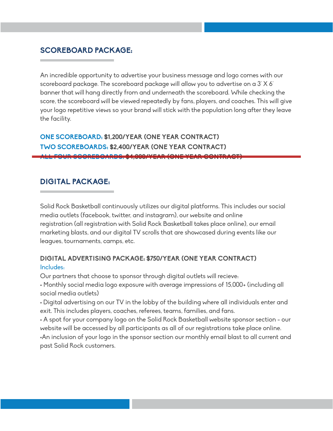### **SCOREBOARD PACKAGE:**

An incredible opportunity to advertise your business message and logo comes with our scoreboard package. The scoreboard package will allow you to advertise on a 3' X 6' banner that will hang directly from and underneath the scoreboard. While checking the score, the scoreboard will be viewed repeatedly by fans, players, and coaches. This will give your logo repetitive views so your brand will stick with the population long after they leave the facility.

**ONE SCOREBOARD: \$1,200/YEAR (ONE YEAR CONTRACT) TWO SCOREBOARDS: \$2,400/YEAR (ONE YEAR CONTRACT) ALL FOUR SCOREBOARDS: \$4,000/YEAR (ONE YEAR CONTRACT)**

#### **DIGITAL PACKAGE:**

Solid Rock Basketball continuously utilizes our digital platforms. This includes our social media outlets (facebook, twitter, and instagram), our website and online registration (all registration with Solid Rock Basketball takes place online), our email marketing blasts, and our digital TV scrolls that are showcased during events like our leagues, tournaments, camps, etc.

#### **DIGITAL ADVERTISING PACKAGE: \$750/YEAR (ONE YEAR CONTRACT)** Includes:

Our partners that choose to sponsor through digital outlets will recieve:

• Monthly social media logo exposure with average impressions of 15,000+ (including all social media outlets)

• Digital advertising on our TV in the lobby of the building where all individuals enter and exit. This includes players, coaches, referees, teams, families, and fans.

• A spot for your company logo on the Solid Rock Basketball website sponsor section - our website will be accessed by all participants as all of our registrations take place online. •An inclusion of your logo in the sponsor section our monthly email blast to all current and past Solid Rock customers.